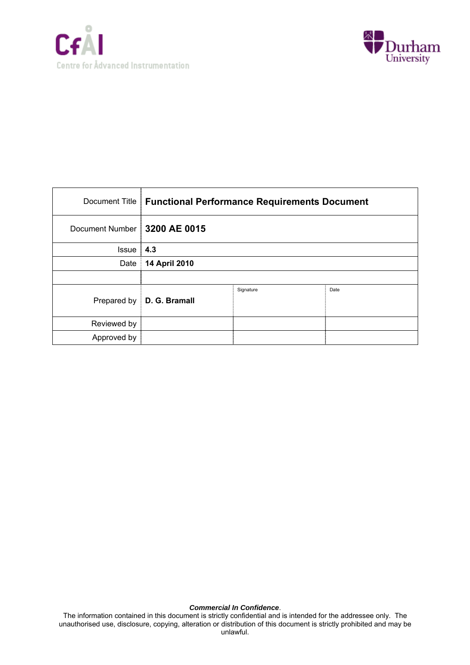



| Document Title                 | <b>Functional Performance Requirements Document</b> |           |      |
|--------------------------------|-----------------------------------------------------|-----------|------|
| Document Number   3200 AE 0015 |                                                     |           |      |
| <b>Issue</b>                   | 4.3                                                 |           |      |
| Date                           | 14 April 2010                                       |           |      |
|                                |                                                     |           |      |
| Prepared by                    | D. G. Bramall                                       | Signature | Date |
| Reviewed by                    |                                                     |           |      |
| Approved by                    |                                                     |           |      |

#### *Commercial In Confidence*.

The information contained in this document is strictly confidential and is intended for the addressee only. The unauthorised use, disclosure, copying, alteration or distribution of this document is strictly prohibited and may be unlawful.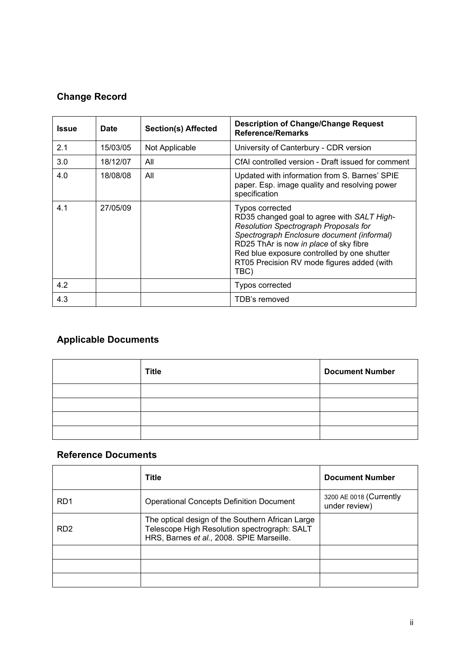# **Change Record**

| <b>Issue</b> | <b>Date</b> | <b>Section(s) Affected</b> | <b>Description of Change/Change Request</b><br><b>Reference/Remarks</b>                                                                                                                                                                                                                             |
|--------------|-------------|----------------------------|-----------------------------------------------------------------------------------------------------------------------------------------------------------------------------------------------------------------------------------------------------------------------------------------------------|
| 2.1          | 15/03/05    | Not Applicable             | University of Canterbury - CDR version                                                                                                                                                                                                                                                              |
| 3.0          | 18/12/07    | All                        | CfAI controlled version - Draft issued for comment                                                                                                                                                                                                                                                  |
| 4.0          | 18/08/08    | All                        | Updated with information from S. Barnes' SPIE<br>paper. Esp. image quality and resolving power<br>specification                                                                                                                                                                                     |
| 4.1          | 27/05/09    |                            | Typos corrected<br>RD35 changed goal to agree with SALT High-<br>Resolution Spectrograph Proposals for<br>Spectrograph Enclosure document (informal)<br>RD25 ThAr is now in place of sky fibre<br>Red blue exposure controlled by one shutter<br>RT05 Precision RV mode figures added (with<br>TBC) |
| 4.2          |             |                            | <b>Typos corrected</b>                                                                                                                                                                                                                                                                              |
| 4.3          |             |                            | TDB's removed                                                                                                                                                                                                                                                                                       |

# **Applicable Documents**

| <b>Title</b> | <b>Document Number</b> |
|--------------|------------------------|
|              |                        |
|              |                        |
|              |                        |
|              |                        |

# **Reference Documents**

|                 | <b>Title</b>                                                                                                                                  | <b>Document Number</b>                   |
|-----------------|-----------------------------------------------------------------------------------------------------------------------------------------------|------------------------------------------|
| RD <sub>1</sub> | <b>Operational Concepts Definition Document</b>                                                                                               | 3200 AE 0018 (Currently<br>under review) |
| RD <sub>2</sub> | The optical design of the Southern African Large<br>Telescope High Resolution spectrograph: SALT<br>HRS, Barnes et al., 2008. SPIE Marseille. |                                          |
|                 |                                                                                                                                               |                                          |
|                 |                                                                                                                                               |                                          |
|                 |                                                                                                                                               |                                          |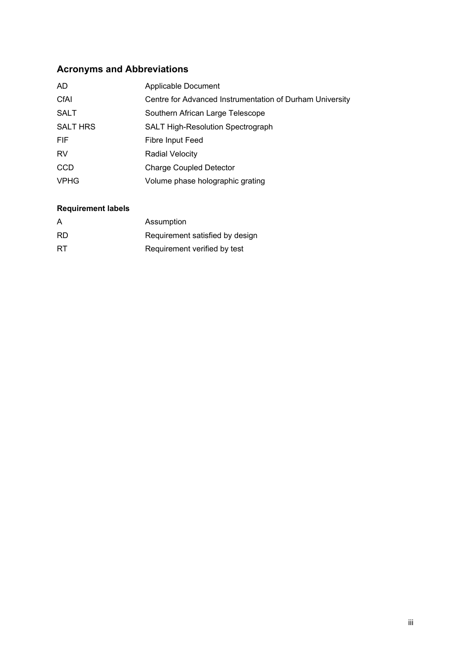# **Acronyms and Abbreviations**

| AD.             | Applicable Document                                      |
|-----------------|----------------------------------------------------------|
| CfAI            | Centre for Advanced Instrumentation of Durham University |
| <b>SALT</b>     | Southern African Large Telescope                         |
| <b>SALT HRS</b> | <b>SALT High-Resolution Spectrograph</b>                 |
| <b>FIF</b>      | Fibre Input Feed                                         |
| <b>RV</b>       | <b>Radial Velocity</b>                                   |
| <b>CCD</b>      | <b>Charge Coupled Detector</b>                           |
| <b>VPHG</b>     | Volume phase holographic grating                         |

# **Requirement labels**

| A         | Assumption                      |
|-----------|---------------------------------|
| <b>RD</b> | Requirement satisfied by design |
| <b>RT</b> | Requirement verified by test    |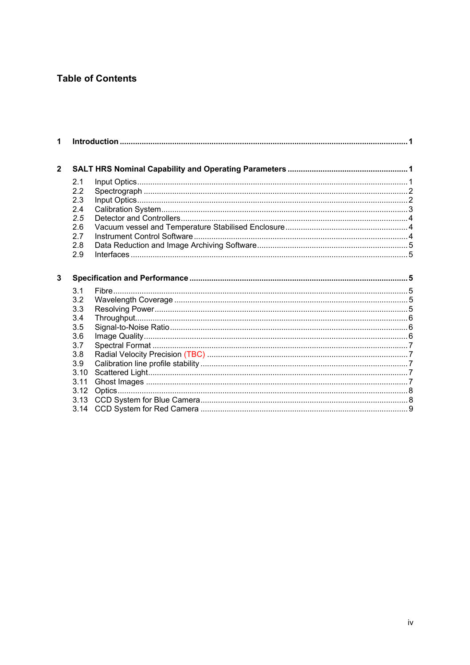# **Table of Contents**

| 1              |                          |  |
|----------------|--------------------------|--|
| $\overline{2}$ |                          |  |
|                | 2.1<br>2.2<br>2.3<br>2.4 |  |
|                | 2.5<br>2.6<br>2.7        |  |
|                | 2.8<br>2.9               |  |
|                |                          |  |
| $\overline{3}$ |                          |  |
|                |                          |  |
|                | 3.1<br>3.2               |  |
|                | 3.3                      |  |
|                | 3.4                      |  |
|                | 3.5                      |  |
|                | 3.6                      |  |
|                | 3.7                      |  |
|                | 3.8                      |  |
|                | 3.9                      |  |
|                | 3.10                     |  |
|                | 3.11                     |  |
|                | 3.12                     |  |
|                | 3.13                     |  |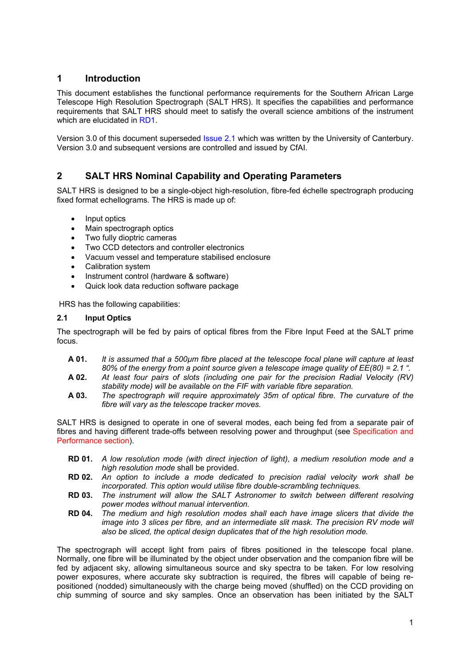## **1 Introduction**

This document establishes the functional performance requirements for the Southern African Large Telescope High Resolution Spectrograph (SALT HRS). It specifies the capabilities and performance requirements that SALT HRS should meet to satisfy the overall science ambitions of the instrument which are elucidated in RD1.

Version 3.0 of this document superseded Issue 2.1 which was written by the University of Canterbury. Version 3.0 and subsequent versions are controlled and issued by CfAI.

## **2 SALT HRS Nominal Capability and Operating Parameters**

SALT HRS is designed to be a single-object high-resolution, fibre-fed échelle spectrograph producing fixed format echellograms. The HRS is made up of:

- Input optics
- Main spectrograph optics
- Two fully dioptric cameras
- Two CCD detectors and controller electronics
- Vacuum vessel and temperature stabilised enclosure
- Calibration system
- Instrument control (hardware & software)
- Quick look data reduction software package

HRS has the following capabilities:

## **2.1 Input Optics**

The spectrograph will be fed by pairs of optical fibres from the Fibre Input Feed at the SALT prime focus.

- **A 01.** *It is assumed that a 500µm fibre placed at the telescope focal plane will capture at least 80% of the energy from a point source given a telescope image quality of EE(80) = 2.1 ".*
- **A 02.** *At least four pairs of slots (including one pair for the precision Radial Velocity (RV) stability mode) will be available on the FIF with variable fibre separation.*
- **A 03.** *The spectrograph will require approximately 35m of optical fibre. The curvature of the fibre will vary as the telescope tracker moves.*

SALT HRS is designed to operate in one of several modes, each being fed from a separate pair of fibres and having different trade-offs between resolving power and throughput (see Specification and Performance section).

- **RD 01.** *A low resolution mode (with direct injection of light), a medium resolution mode and a high resolution mode* shall be provided.
- **RD 02.** *An option to include a mode dedicated to precision radial velocity work shall be incorporated. This option would utilise fibre double-scrambling techniques.*
- **RD 03.** *The instrument will allow the SALT Astronomer to switch between different resolving power modes without manual intervention.*
- **RD 04.** *The medium and high resolution modes shall each have image slicers that divide the image into 3 slices per fibre, and an intermediate slit mask. The precision RV mode will also be sliced, the optical design duplicates that of the high resolution mode.*

The spectrograph will accept light from pairs of fibres positioned in the telescope focal plane. Normally, one fibre will be illuminated by the object under observation and the companion fibre will be fed by adjacent sky, allowing simultaneous source and sky spectra to be taken. For low resolving power exposures, where accurate sky subtraction is required, the fibres will capable of being repositioned (nodded) simultaneously with the charge being moved (shuffled) on the CCD providing on chip summing of source and sky samples. Once an observation has been initiated by the SALT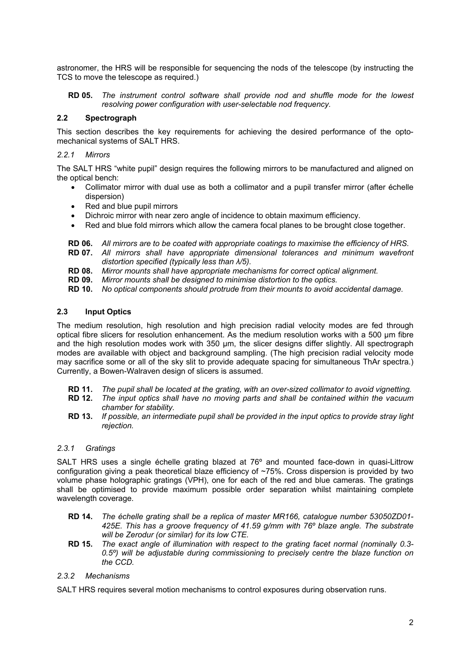astronomer, the HRS will be responsible for sequencing the nods of the telescope (by instructing the TCS to move the telescope as required.)

**RD 05.** *The instrument control software shall provide nod and shuffle mode for the lowest resolving power configuration with user-selectable nod frequency.* 

## **2.2 Spectrograph**

This section describes the key requirements for achieving the desired performance of the optomechanical systems of SALT HRS.

## *2.2.1 Mirrors*

The SALT HRS "white pupil" design requires the following mirrors to be manufactured and aligned on the optical bench:

- Collimator mirror with dual use as both a collimator and a pupil transfer mirror (after échelle dispersion)
- Red and blue pupil mirrors
- Dichroic mirror with near zero angle of incidence to obtain maximum efficiency.
- Red and blue fold mirrors which allow the camera focal planes to be brought close together.
- **RD 06.** *All mirrors are to be coated with appropriate coatings to maximise the efficiency of HRS.*
- **RD 07.** *All mirrors shall have appropriate dimensional tolerances and minimum wavefront distortion specified (typically less than λ/5).*
- **RD 08.** *Mirror mounts shall have appropriate mechanisms for correct optical alignment.*
- **RD 09.** *Mirror mounts shall be designed to minimise distortion to the optics.*
- **RD 10.** *No optical components should protrude from their mounts to avoid accidental damage.*

## **2.3 Input Optics**

The medium resolution, high resolution and high precision radial velocity modes are fed through optical fibre slicers for resolution enhancement. As the medium resolution works with a 500 um fibre and the high resolution modes work with 350 µm, the slicer designs differ slightly. All spectrograph modes are available with object and background sampling. (The high precision radial velocity mode may sacrifice some or all of the sky slit to provide adequate spacing for simultaneous ThAr spectra.) Currently, a Bowen-Walraven design of slicers is assumed.

- **RD 11.** *The pupil shall be located at the grating, with an over-sized collimator to avoid vignetting.*
- **RD 12.** *The input optics shall have no moving parts and shall be contained within the vacuum chamber for stability.*
- **RD 13.** *If possible, an intermediate pupil shall be provided in the input optics to provide stray light rejection.*

### *2.3.1 Gratings*

SALT HRS uses a single échelle grating blazed at 76º and mounted face-down in quasi-Littrow configuration giving a peak theoretical blaze efficiency of ~75%. Cross dispersion is provided by two volume phase holographic gratings (VPH), one for each of the red and blue cameras. The gratings shall be optimised to provide maximum possible order separation whilst maintaining complete wavelength coverage.

- **RD 14.** *The échelle grating shall be a replica of master MR166, catalogue number 53050ZD01- 425E. This has a groove frequency of 41.59 g/mm with 76º blaze angle. The substrate will be Zerodur (or similar) for its low CTE.*
- **RD 15.** *The exact angle of illumination with respect to the grating facet normal (nominally 0.3- 0.5º) will be adjustable during commissioning to precisely centre the blaze function on the CCD.*

## *2.3.2 Mechanisms*

SALT HRS requires several motion mechanisms to control exposures during observation runs.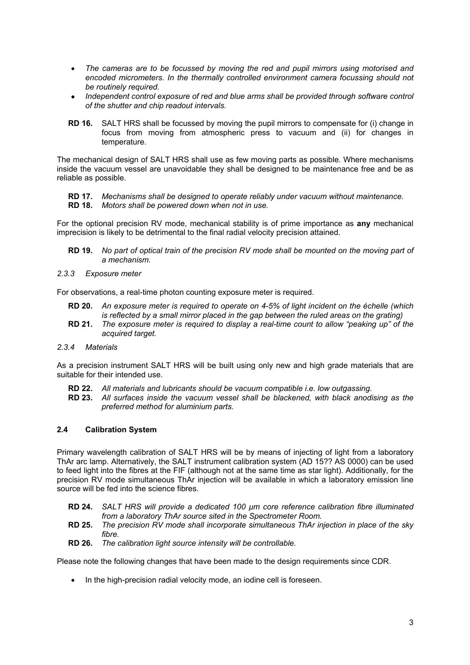- *The cameras are to be focussed by moving the red and pupil mirrors using motorised and encoded micrometers. In the thermally controlled environment camera focussing should not be routinely required.*
- *Independent control exposure of red and blue arms shall be provided through software control of the shutter and chip readout intervals.*
- **RD 16.** SALT HRS shall be focussed by moving the pupil mirrors to compensate for (i) change in focus from moving from atmospheric press to vacuum and (ii) for changes in temperature.

The mechanical design of SALT HRS shall use as few moving parts as possible. Where mechanisms inside the vacuum vessel are unavoidable they shall be designed to be maintenance free and be as reliable as possible.

- **RD 17.** *Mechanisms shall be designed to operate reliably under vacuum without maintenance.*
- **RD 18.** *Motors shall be powered down when not in use.*

For the optional precision RV mode, mechanical stability is of prime importance as **any** mechanical imprecision is likely to be detrimental to the final radial velocity precision attained.

- **RD 19.** *No part of optical train of the precision RV mode shall be mounted on the moving part of a mechanism.*
- *2.3.3 Exposure meter*

For observations, a real-time photon counting exposure meter is required.

- **RD 20.** *An exposure meter is required to operate on 4-5% of light incident on the échelle (which is reflected by a small mirror placed in the gap between the ruled areas on the grating)*
- **RD 21.** *The exposure meter is required to display a real-time count to allow "peaking up" of the acquired target.*
- *2.3.4 Materials*

As a precision instrument SALT HRS will be built using only new and high grade materials that are suitable for their intended use.

- **RD 22.** *All materials and lubricants should be vacuum compatible i.e. low outgassing.*
- **RD 23.** *All surfaces inside the vacuum vessel shall be blackened, with black anodising as the preferred method for aluminium parts.*

## **2.4 Calibration System**

Primary wavelength calibration of SALT HRS will be by means of injecting of light from a laboratory ThAr arc lamp. Alternatively, the SALT instrument calibration system (AD 15?? AS 0000) can be used to feed light into the fibres at the FIF (although not at the same time as star light). Additionally, for the precision RV mode simultaneous ThAr injection will be available in which a laboratory emission line source will be fed into the science fibres.

- **RD 24.** *SALT HRS will provide a dedicated 100 µm core reference calibration fibre illuminated from a laboratory ThAr source sited in the Spectrometer Room.*
- **RD 25.** *The precision RV mode shall incorporate simultaneous ThAr injection in place of the sky fibre.*
- **RD 26.** *The calibration light source intensity will be controllable.*

Please note the following changes that have been made to the design requirements since CDR.

• In the high-precision radial velocity mode, an iodine cell is foreseen.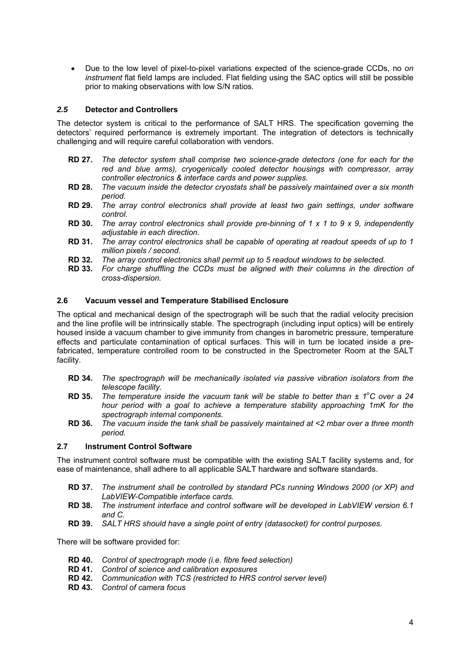• Due to the low level of pixel-to-pixel variations expected of the science-grade CCDs, no *on instrument* flat field lamps are included. Flat fielding using the SAC optics will still be possible prior to making observations with low S/N ratios.

## *2.5* **Detector and Controllers**

The detector system is critical to the performance of SALT HRS. The specification governing the detectors' required performance is extremely important. The integration of detectors is technically challenging and will require careful collaboration with vendors.

- **RD 27.** *The detector system shall comprise two science-grade detectors (one for each for the red and blue arms), cryogenically cooled detector housings with compressor, array controller electronics & interface cards and power supplies.*
- **RD 28.** *The vacuum inside the detector cryostats shall be passively maintained over a six month period.*
- **RD 29.** *The array control electronics shall provide at least two gain settings, under software control.*
- **RD 30.** *The array control electronics shall provide pre-binning of 1 x 1 to 9 x 9, independently adjustable in each direction.*
- **RD 31.** *The array control electronics shall be capable of operating at readout speeds of up to 1 million pixels / second.*
- **RD 32.** *The array control electronics shall permit up to 5 readout windows to be selected.*
- **RD 33.** *For charge shuffling the CCDs must be aligned with their columns in the direction of cross-dispersion.*

## **2.6 Vacuum vessel and Temperature Stabilised Enclosure**

The optical and mechanical design of the spectrograph will be such that the radial velocity precision and the line profile will be intrinsically stable. The spectrograph (including input optics) will be entirely housed inside a vacuum chamber to give immunity from changes in barometric pressure, temperature effects and particulate contamination of optical surfaces. This will in turn be located inside a prefabricated, temperature controlled room to be constructed in the Spectrometer Room at the SALT facility.

- **RD 34.** *The spectrograph will be mechanically isolated via passive vibration isolators from the telescope facility.*
- **RD 35.** The temperature inside the vacuum tank will be stable to better than  $\pm$  1°C over a 24 *hour period with a goal to achieve a temperature stability approaching 1mK for the spectrograph internal components.*
- **RD 36.** *The vacuum inside the tank shall be passively maintained at <2 mbar over a three month period.*

## **2.7 Instrument Control Software**

The instrument control software must be compatible with the existing SALT facility systems and, for ease of maintenance, shall adhere to all applicable SALT hardware and software standards.

- **RD 37.** *The instrument shall be controlled by standard PCs running Windows 2000 (or XP) and LabVIEW-Compatible interface cards.*
- **RD 38.** *The instrument interface and control software will be developed in LabVIEW version 6.1 and C.*
- **RD 39.** *SALT HRS should have a single point of entry (datasocket) for control purposes.*

There will be software provided for:

- **RD 40.** *Control of spectrograph mode (i.e. fibre feed selection)*
- **RD 41.** *Control of science and calibration exposures*
- **RD 42.** *Communication with TCS (restricted to HRS control server level)*
- **RD 43.** *Control of camera focus*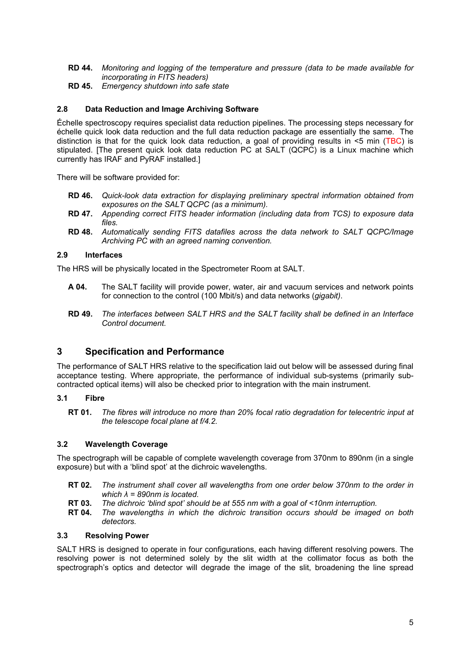- **RD 44.** *Monitoring and logging of the temperature and pressure (data to be made available for incorporating in FITS headers)*
- **RD 45.** *Emergency shutdown into safe state*

## **2.8 Data Reduction and Image Archiving Software**

Échelle spectroscopy requires specialist data reduction pipelines. The processing steps necessary for échelle quick look data reduction and the full data reduction package are essentially the same. The distinction is that for the quick look data reduction, a goal of providing results in <5 min (TBC) is stipulated. [The present quick look data reduction PC at SALT (QCPC) is a Linux machine which currently has IRAF and PyRAF installed.]

There will be software provided for:

- **RD 46.** *Quick-look data extraction for displaying preliminary spectral information obtained from exposures on the SALT QCPC (as a minimum).*
- **RD 47.** *Appending correct FITS header information (including data from TCS) to exposure data files.*
- **RD 48.** *Automatically sending FITS datafiles across the data network to SALT QCPC/Image Archiving PC with an agreed naming convention.*

## **2.9 Interfaces**

The HRS will be physically located in the Spectrometer Room at SALT.

- **A 04.** The SALT facility will provide power, water, air and vacuum services and network points for connection to the control (100 Mbit/s) and data networks (*gigabit)*.
- **RD 49.** *The interfaces between SALT HRS and the SALT facility shall be defined in an Interface Control document.*

## **3 Specification and Performance**

The performance of SALT HRS relative to the specification laid out below will be assessed during final acceptance testing. Where appropriate, the performance of individual sub-systems (primarily subcontracted optical items) will also be checked prior to integration with the main instrument.

## **3.1 Fibre**

**RT 01.** *The fibres will introduce no more than 20% focal ratio degradation for telecentric input at the telescope focal plane at f/4.2.* 

## **3.2 Wavelength Coverage**

The spectrograph will be capable of complete wavelength coverage from 370nm to 890nm (in a single exposure) but with a 'blind spot' at the dichroic wavelengths.

- **RT 02.** *The instrument shall cover all wavelengths from one order below 370nm to the order in which λ = 890nm is located.*
- **RT 03.** *The dichroic 'blind spot' should be at 555 nm with a goal of <10nm interruption.*
- **RT 04.** *The wavelengths in which the dichroic transition occurs should be imaged on both detectors.*

## **3.3 Resolving Power**

SALT HRS is designed to operate in four configurations, each having different resolving powers. The resolving power is not determined solely by the slit width at the collimator focus as both the spectrograph's optics and detector will degrade the image of the slit, broadening the line spread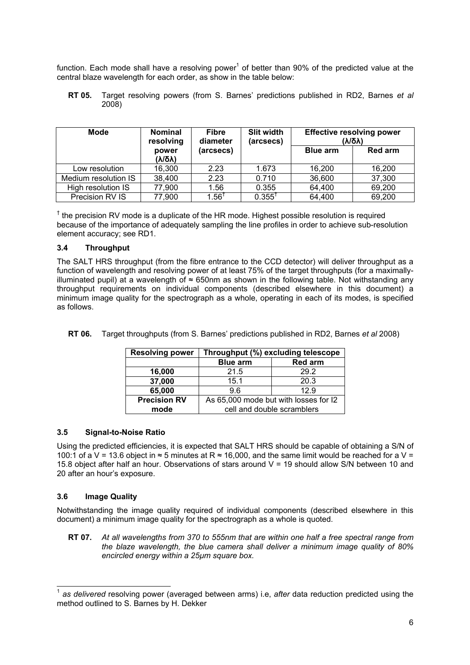function. Each mode shall have a resolving power<sup>1</sup> of better than 90% of the predicted value at the central blaze wavelength for each order, as show in the table below:

**RT 05.** Target resolving powers (from S. Barnes' predictions published in RD2, Barnes *et al* 2008)

| <b>Mode</b>          | <b>Nominal</b><br>resolving | <b>Fibre</b><br>diameter | Slit width<br>(arcsecs) |                 | <b>Effective resolving power</b><br>(γι <u>ο</u> γ) |
|----------------------|-----------------------------|--------------------------|-------------------------|-----------------|-----------------------------------------------------|
|                      | power<br>(γι <u>ο</u> γ)    | (arcsecs)                |                         | <b>Blue arm</b> | <b>Red arm</b>                                      |
| Low resolution       | 16,300                      | 2.23                     | 1.673                   | 16,200          | 16,200                                              |
| Medium resolution IS | 38,400                      | 2.23                     | 0.710                   | 36,600          | 37,300                                              |
| High resolution IS   | 77,900                      | 1.56                     | 0.355                   | 64,400          | 69,200                                              |
| Precision RV IS      | 77,900                      | $1.56^{\dagger}$         | $0.355^{\dagger}$       | 64,400          | 69,200                                              |

 $<sup>†</sup>$  the precision RV mode is a duplicate of the HR mode. Highest possible resolution is required</sup> because of the importance of adequately sampling the line profiles in order to achieve sub-resolution element accuracy; see RD1.

## **3.4 Throughput**

The SALT HRS throughput (from the fibre entrance to the CCD detector) will deliver throughput as a function of wavelength and resolving power of at least 75% of the target throughputs (for a maximallyilluminated pupil) at a wavelength of ≈ 650nm as shown in the following table. Not withstanding any throughput requirements on individual components (described elsewhere in this document) a minimum image quality for the spectrograph as a whole, operating in each of its modes, is specified as follows.

**RT 06.** Target throughputs (from S. Barnes' predictions published in RD2, Barnes *et al* 2008)

| <b>Resolving power</b> | Throughput (%) excluding telescope    |                |
|------------------------|---------------------------------------|----------------|
|                        | <b>Blue arm</b>                       | <b>Red arm</b> |
| 16,000                 | 21.5                                  | 29.2           |
| 37,000                 | 15.1                                  | 20.3           |
| 65,000                 | 12.9<br>9.6                           |                |
| <b>Precision RV</b>    | As 65,000 mode but with losses for I2 |                |
| mode                   | cell and double scramblers            |                |

### **3.5 Signal-to-Noise Ratio**

Using the predicted efficiencies, it is expected that SALT HRS should be capable of obtaining a S/N of 100:1 of a V = 13.6 object in ≈ 5 minutes at R ≈ 16,000, and the same limit would be reached for a V = 15.8 object after half an hour. Observations of stars around V = 19 should allow S/N between 10 and 20 after an hour's exposure.

## **3.6 Image Quality**

l

Notwithstanding the image quality required of individual components (described elsewhere in this document) a minimum image quality for the spectrograph as a whole is quoted.

**RT 07.** *At all wavelengths from 370 to 555nm that are within one half a free spectral range from the blaze wavelength, the blue camera shall deliver a minimum image quality of 80% encircled energy within a 25µm square box.* 

<sup>1</sup> *as delivered* resolving power (averaged between arms) i.e, *after* data reduction predicted using the method outlined to S. Barnes by H. Dekker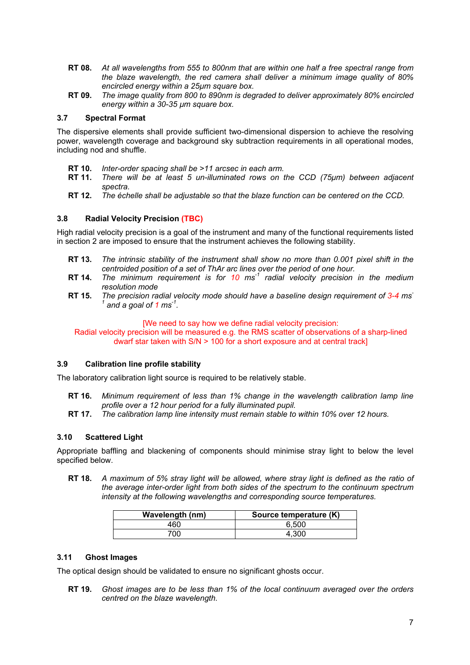- **RT 08.** *At all wavelengths from 555 to 800nm that are within one half a free spectral range from the blaze wavelength, the red camera shall deliver a minimum image quality of 80% encircled energy within a 25µm square box.*
- **RT 09.** *The image quality from 800 to 890nm is degraded to deliver approximately 80% encircled energy within a 30-35 µm square box.*

## **3.7 Spectral Format**

The dispersive elements shall provide sufficient two-dimensional dispersion to achieve the resolving power, wavelength coverage and background sky subtraction requirements in all operational modes, including nod and shuffle.

- **RT 10.** *Inter-order spacing shall be >11 arcsec in each arm.*
- **RT 11.** *There will be at least 5 un-illuminated rows on the CCD (75µm) between adjacent spectra.*
- **RT 12.** *The échelle shall be adjustable so that the blaze function can be centered on the CCD.*

## **3.8 Radial Velocity Precision (TBC)**

High radial velocity precision is a goal of the instrument and many of the functional requirements listed in section 2 are imposed to ensure that the instrument achieves the following stability.

- **RT 13.** *The intrinsic stability of the instrument shall show no more than 0.001 pixel shift in the centroided position of a set of ThAr arc lines over the period of one hour.*
- **RT 14.** *The minimum requirement is for 10 ms-1 radial velocity precision in the medium resolution mode*
- **RT 15.** *The precision radial velocity mode should have a baseline design requirement of 3-4 ms-* $^1$  and a goal of 1 ms<sup>-1</sup>.

[We need to say how we define radial velocity precision:

Radial velocity precision will be measured e.g. the RMS scatter of observations of a sharp-lined dwarf star taken with S/N > 100 for a short exposure and at central track]

## **3.9 Calibration line profile stability**

The laboratory calibration light source is required to be relatively stable.

- **RT 16.** *Minimum requirement of less than 1% change in the wavelength calibration lamp line profile over a 12 hour period for a fully illuminated pupil.*
- **RT 17.** *The calibration lamp line intensity must remain stable to within 10% over 12 hours.*

## **3.10 Scattered Light**

Appropriate baffling and blackening of components should minimise stray light to below the level specified below.

**RT 18.** *A maximum of 5% stray light will be allowed, where stray light is defined as the ratio of the average inter-order light from both sides of the spectrum to the continuum spectrum intensity at the following wavelengths and corresponding source temperatures.* 

| <b>Wavelength (nm)</b> | Source temperature (K) |
|------------------------|------------------------|
| 460                    | 6.500                  |
| 700                    | 4.300                  |

## **3.11 Ghost Images**

The optical design should be validated to ensure no significant ghosts occur.

**RT 19.** *Ghost images are to be less than 1% of the local continuum averaged over the orders centred on the blaze wavelength.*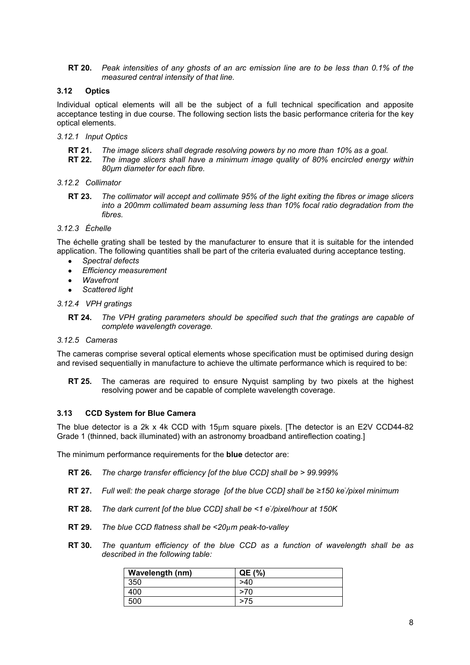**RT 20.** *Peak intensities of any ghosts of an arc emission line are to be less than 0.1% of the measured central intensity of that line.* 

## **3.12 Optics**

Individual optical elements will all be the subject of a full technical specification and apposite acceptance testing in due course. The following section lists the basic performance criteria for the key optical elements.

- *3.12.1 Input Optics* 
	- **RT 21.** *The image slicers shall degrade resolving powers by no more than 10% as a goal.*
	- **RT 22.** *The image slicers shall have a minimum image quality of 80% encircled energy within 80µm diameter for each fibre.*
- *3.12.2 Collimator* 
	- **RT 23.** *The collimator will accept and collimate 95% of the light exiting the fibres or image slicers into a 200mm collimated beam assuming less than 10% focal ratio degradation from the fibres.*

### *3.12.3 Échelle*

The échelle grating shall be tested by the manufacturer to ensure that it is suitable for the intended application. The following quantities shall be part of the criteria evaluated during acceptance testing.

- *Spectral defects*
- *Efficiency measurement*
- *Wavefront*
- *Scattered light*

### *3.12.4 VPH gratings*

**RT 24.** *The VPH grating parameters should be specified such that the gratings are capable of complete wavelength coverage.* 

### *3.12.5 Cameras*

The cameras comprise several optical elements whose specification must be optimised during design and revised sequentially in manufacture to achieve the ultimate performance which is required to be:

**RT 25.** The cameras are required to ensure Nyquist sampling by two pixels at the highest resolving power and be capable of complete wavelength coverage.

## **3.13 CCD System for Blue Camera**

The blue detector is a 2k x 4k CCD with 15µm square pixels. [The detector is an E2V CCD44-82 Grade 1 (thinned, back illuminated) with an astronomy broadband antireflection coating.]

The minimum performance requirements for the **blue** detector are:

- **RT 26.** *The charge transfer efficiency [of the blue CCD] shall be > 99.999%*
- **RT 27.** *Full well: the peak charge storage [of the blue CCD] shall be ≥150 ke- /pixel minimum*
- **RT 28.** *The dark current [of the blue CCD] shall be <1 e- /pixel/hour at 150K*
- **RT 29.** *The blue CCD flatness shall be <20µm peak-to-valley*
- **RT 30.** *The quantum efficiency of the blue CCD as a function of wavelength shall be as described in the following table:*

| Wavelength (nm) | QE (%) |
|-----------------|--------|
| 350             | >40    |
| 400             | >70    |
| 500             | >75    |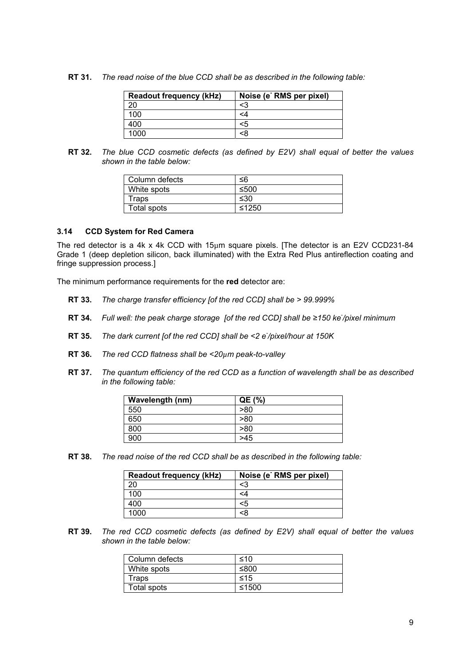**RT 31.** *The read noise of the blue CCD shall be as described in the following table:* 

| <b>Readout frequency (kHz)</b> | Noise (e <sup>-</sup> RMS per pixel) |
|--------------------------------|--------------------------------------|
| 20                             | <3                                   |
| 100                            | <۵                                   |
| 400                            | <5                                   |
| 1000                           | <ጾ                                   |

**RT 32.** *The blue CCD cosmetic defects (as defined by E2V) shall equal of better the values shown in the table below:* 

| Column defects | ≤6    |
|----------------|-------|
| White spots    | ≤500  |
| Traps          | ≤30   |
| Total spots    | ≤1250 |

## **3.14 CCD System for Red Camera**

The red detector is a 4k x 4k CCD with 15µm square pixels. [The detector is an E2V CCD231-84 Grade 1 (deep depletion silicon, back illuminated) with the Extra Red Plus antireflection coating and fringe suppression process.]

The minimum performance requirements for the **red** detector are:

- **RT 33.** *The charge transfer efficiency [of the red CCD] shall be > 99.999%*
- **RT 34.** *Full well: the peak charge storage [of the red CCD] shall be ≥150 ke- /pixel minimum*
- **RT 35.** *The dark current [of the red CCD] shall be <2 e- /pixel/hour at 150K*
- **RT 36.** *The red CCD flatness shall be <20µm peak-to-valley*
- **RT 37.** *The quantum efficiency of the red CCD as a function of wavelength shall be as described in the following table:*

| Wavelength (nm) | QE (%) |
|-----------------|--------|
| 550             | >80    |
| 650             | >80    |
| 800             | >80    |
| 900             | >45    |

**RT 38.** *The read noise of the red CCD shall be as described in the following table:* 

| <b>Readout frequency (kHz)</b> | Noise (e RMS per pixel) |
|--------------------------------|-------------------------|
| oc                             | <3                      |
| 100                            |                         |
| 400                            | <5                      |
| 1000                           | ะ8                      |

**RT 39.** *The red CCD cosmetic defects (as defined by E2V) shall equal of better the values shown in the table below:* 

| Column defects | ≤10   |
|----------------|-------|
| White spots    | ≤800  |
| Traps          | ≤15   |
| Total spots    | ≤1500 |